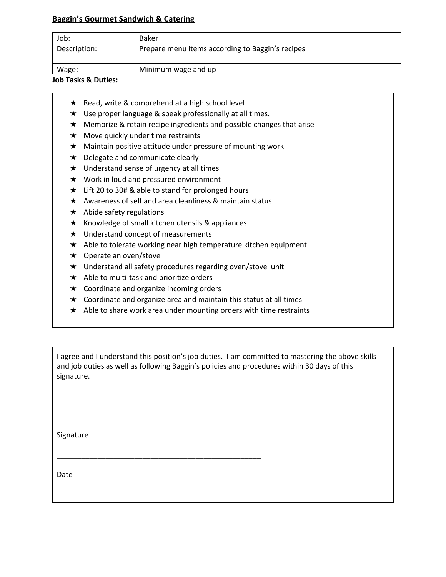## **Baggin's Gourmet Sandwich & Catering**

| Prepare menu items according to Baggin's recipes<br>Description: | Job: | Baker |
|------------------------------------------------------------------|------|-------|
|                                                                  |      |       |
|                                                                  |      |       |
| Wage:<br>Minimum wage and up                                     |      |       |

## **Job Tasks & Duties:**

- ★ Read, write & comprehend at a high school level
- ★ Use proper language & speak professionally at all times.
- $\star$  Memorize & retain recipe ingredients and possible changes that arise
- ★ Move quickly under time restraints
- ★ Maintain positive attitude under pressure of mounting work
- ★ Delegate and communicate clearly
- ★ Understand sense of urgency at all times
- ★ Work in loud and pressured environment
- $\star$  Lift 20 to 30# & able to stand for prolonged hours
- $\star$  Awareness of self and area cleanliness & maintain status
- $\star$  Abide safety regulations
- $\star$  Knowledge of small kitchen utensils & appliances
- $\star$  Understand concept of measurements
- ★ Able to tolerate working near high temperature kitchen equipment
- ★ Operate an oven/stove
- ★ Understand all safety procedures regarding oven/stove unit
- ★ Able to multi-task and prioritize orders
- ★ Coordinate and organize incoming orders

\_\_\_\_\_\_\_\_\_\_\_\_\_\_\_\_\_\_\_\_\_\_\_\_\_\_\_\_\_\_\_\_\_\_\_\_\_\_\_\_\_\_\_\_\_\_\_\_\_\_

- $\star$  Coordinate and organize area and maintain this status at all times
- $\star$  Able to share work area under mounting orders with time restraints

I agree and I understand this position's job duties. I am committed to mastering the above skills and job duties as well as following Baggin's policies and procedures within 30 days of this signature.

\_\_\_\_\_\_\_\_\_\_\_\_\_\_\_\_\_\_\_\_\_\_\_\_\_\_\_\_\_\_\_\_\_\_\_\_\_\_\_\_\_\_\_\_\_\_\_\_\_\_\_\_\_\_\_\_\_\_\_\_\_\_\_\_\_\_\_\_\_\_\_\_\_\_\_\_\_\_\_\_\_\_\_\_\_\_\_

Signature

Date